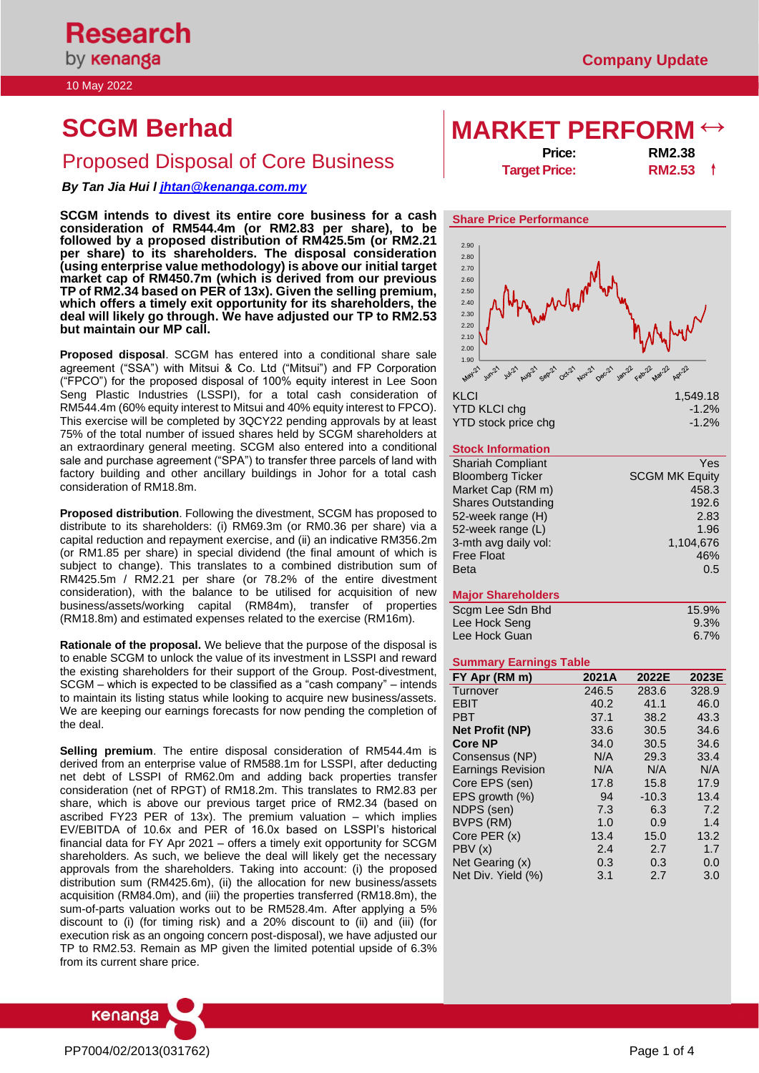10 May 2022

# Price: **RM2.38**<br>Price: **RM2.38**<br>Target Price: **RM2.53**

*By Tan Jia Hui l [jhtan@kenanga.com.my](mailto:jhtan@kenanga.com.my)*

**SCGM intends to divest its entire core business for a cash consideration of RM544.4m (or RM2.83 per share), to be followed by a proposed distribution of RM425.5m (or RM2.21 per share) to its shareholders. The disposal consideration (using enterprise value methodology) is above our initial target market cap of RM450.7m (which is derived from our previous TP of RM2.34 based on PER of 13x). Given the selling premium, which offers a timely exit opportunity for its shareholders, the deal will likely go through. We have adjusted our TP to RM2.53 but maintain our MP call.**

**Proposed disposal**. SCGM has entered into a conditional share sale agreement ("SSA") with Mitsui & Co. Ltd ("Mitsui") and FP Corporation ("FPCO") for the proposed disposal of 100% equity interest in Lee Soon Seng Plastic Industries (LSSPI), for a total cash consideration of RM544.4m (60% equity interest to Mitsui and 40% equity interest to FPCO). This exercise will be completed by 3QCY22 pending approvals by at least 75% of the total number of issued shares held by SCGM shareholders at an extraordinary general meeting. SCGM also entered into a conditional sale and purchase agreement ("SPA") to transfer three parcels of land with factory building and other ancillary buildings in Johor for a total cash consideration of RM18.8m.

**Proposed distribution**. Following the divestment, SCGM has proposed to distribute to its shareholders: (i) RM69.3m (or RM0.36 per share) via a capital reduction and repayment exercise, and (ii) an indicative RM356.2m (or RM1.85 per share) in special dividend (the final amount of which is subject to change). This translates to a combined distribution sum of RM425.5m / RM2.21 per share (or 78.2% of the entire divestment consideration), with the balance to be utilised for acquisition of new business/assets/working capital (RM84m), transfer of properties (RM18.8m) and estimated expenses related to the exercise (RM16m).

**Rationale of the proposal.** We believe that the purpose of the disposal is to enable SCGM to unlock the value of its investment in LSSPI and reward the existing shareholders for their support of the Group. Post-divestment, SCGM – which is expected to be classified as a "cash company" – intends to maintain its listing status while looking to acquire new business/assets. We are keeping our earnings forecasts for now pending the completion of the deal.

**Selling premium**. The entire disposal consideration of RM544.4m is derived from an enterprise value of RM588.1m for LSSPI, after deducting net debt of LSSPI of RM62.0m and adding back properties transfer consideration (net of RPGT) of RM18.2m. This translates to RM2.83 per share, which is above our previous target price of RM2.34 (based on ascribed FY23 PER of 13x). The premium valuation – which implies EV/EBITDA of 10.6x and PER of 16.0x based on LSSPI's historical financial data for FY Apr 2021 – offers a timely exit opportunity for SCGM shareholders. As such, we believe the deal will likely get the necessary approvals from the shareholders. Taking into account: (i) the proposed distribution sum (RM425.6m), (ii) the allocation for new business/assets acquisition (RM84.0m), and (iii) the properties transferred (RM18.8m), the sum-of-parts valuation works out to be RM528.4m. After applying a 5% discount to (i) (for timing risk) and a 20% discount to (ii) and (iii) (for execution risk as an ongoing concern post-disposal), we have adjusted our TP to RM2.53. Remain as MP given the limited potential upside of 6.3% from its current share price.



# **SCGM Berhad MARKET PERFOR**

**Target Price:** 



| $-1.2\%$ |
|----------|
| $-1.2\%$ |
|          |

# **Stock Information**

| <b>Shariah Compliant</b>  | Yes                   |
|---------------------------|-----------------------|
| <b>Bloomberg Ticker</b>   | <b>SCGM MK Equity</b> |
| Market Cap (RM m)         | 458.3                 |
| <b>Shares Outstanding</b> | 192.6                 |
| 52-week range (H)         | 2.83                  |
| 52-week range (L)         | 1.96                  |
| 3-mth avg daily vol:      | 1,104,676             |
| <b>Free Float</b>         | 46%                   |
| <b>Beta</b>               | 0.5                   |
|                           |                       |

# **Major Shareholders**

| Scgm Lee Sdn Bhd | 15.9%   |
|------------------|---------|
| Lee Hock Seng    | 9.3%    |
| Lee Hock Guan    | $6.7\%$ |

### **Summary Earnings Table**

| FY Apr (RM m)            | 2021A | 2022E   | 2023E |
|--------------------------|-------|---------|-------|
| Turnover                 | 246.5 | 283.6   | 328.9 |
| <b>EBIT</b>              | 40.2  | 41.1    | 46.0  |
| <b>PBT</b>               | 37.1  | 38.2    | 43.3  |
| <b>Net Profit (NP)</b>   | 33.6  | 30.5    | 34.6  |
| <b>Core NP</b>           | 34.0  | 30.5    | 34.6  |
| Consensus (NP)           | N/A   | 29.3    | 33.4  |
| <b>Earnings Revision</b> | N/A   | N/A     | N/A   |
| Core EPS (sen)           | 17.8  | 15.8    | 17.9  |
| EPS arowth $(\%)$        | 94    | $-10.3$ | 13.4  |
| NDPS (sen)               | 7.3   | 6.3     | 7.2   |
| BVPS (RM)                | 1.0   | 0.9     | 1.4   |
| Core PER (x)             | 13.4  | 15.0    | 13.2  |
| PBV(x)                   | 2.4   | 2.7     | 1.7   |
| Net Gearing (x)          | 0.3   | 0.3     | 0.0   |
| Net Div. Yield (%)       | 3.1   | 2.7     | 3.0   |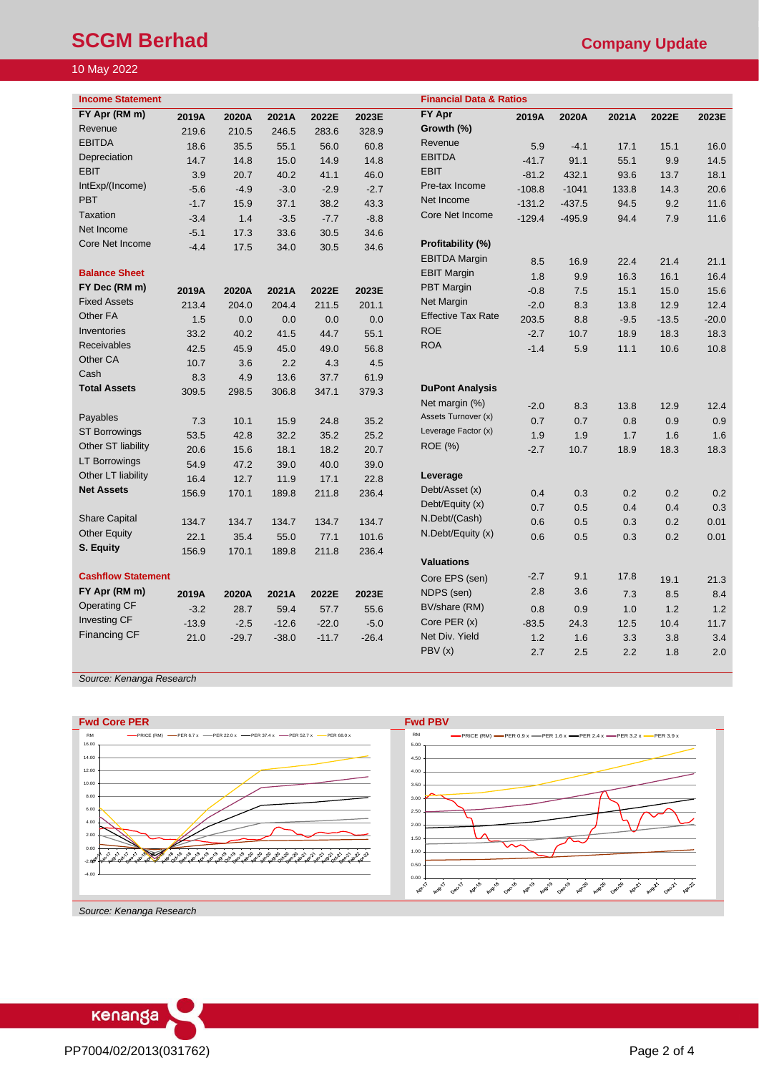# **SCGM Berhad** Company Update **Company Update**

# 10 May 2022

| <b>Income Statement</b>   |         |         |         |         |         | <b>Financial Data &amp; Ratios</b> |          |          |        |         |         |
|---------------------------|---------|---------|---------|---------|---------|------------------------------------|----------|----------|--------|---------|---------|
| FY Apr (RM m)             | 2019A   | 2020A   | 2021A   | 2022E   | 2023E   | <b>FY Apr</b>                      | 2019A    | 2020A    | 2021A  | 2022E   | 2023E   |
| Revenue                   | 219.6   | 210.5   | 246.5   | 283.6   | 328.9   | Growth (%)                         |          |          |        |         |         |
| <b>EBITDA</b>             | 18.6    | 35.5    | 55.1    | 56.0    | 60.8    | Revenue                            | 5.9      | $-4.1$   | 17.1   | 15.1    | 16.0    |
| Depreciation              | 14.7    | 14.8    | 15.0    | 14.9    | 14.8    | <b>EBITDA</b>                      | $-41.7$  | 91.1     | 55.1   | 9.9     | 14.5    |
| <b>EBIT</b>               | 3.9     | 20.7    | 40.2    | 41.1    | 46.0    | <b>EBIT</b>                        | $-81.2$  | 432.1    | 93.6   | 13.7    | 18.1    |
| IntExp/(Income)           | $-5.6$  | $-4.9$  | $-3.0$  | $-2.9$  | $-2.7$  | Pre-tax Income                     | $-108.8$ | $-1041$  | 133.8  | 14.3    | 20.6    |
| <b>PBT</b>                | $-1.7$  | 15.9    | 37.1    | 38.2    | 43.3    | Net Income                         | $-131.2$ | $-437.5$ | 94.5   | 9.2     | 11.6    |
| Taxation                  | $-3.4$  | 1.4     | $-3.5$  | $-7.7$  | $-8.8$  | Core Net Income                    | $-129.4$ | $-495.9$ | 94.4   | 7.9     | 11.6    |
| Net Income                | $-5.1$  | 17.3    | 33.6    | 30.5    | 34.6    |                                    |          |          |        |         |         |
| Core Net Income           | $-4.4$  | 17.5    | 34.0    | 30.5    | 34.6    | Profitability (%)                  |          |          |        |         |         |
|                           |         |         |         |         |         | <b>EBITDA Margin</b>               | 8.5      | 16.9     | 22.4   | 21.4    | 21.1    |
| <b>Balance Sheet</b>      |         |         |         |         |         | <b>EBIT Margin</b>                 | 1.8      | 9.9      | 16.3   | 16.1    | 16.4    |
| FY Dec (RM m)             | 2019A   | 2020A   | 2021A   | 2022E   | 2023E   | <b>PBT Margin</b>                  | $-0.8$   | 7.5      | 15.1   | 15.0    | 15.6    |
| <b>Fixed Assets</b>       | 213.4   | 204.0   | 204.4   | 211.5   | 201.1   | Net Margin                         | $-2.0$   | 8.3      | 13.8   | 12.9    | 12.4    |
| Other FA                  | 1.5     | 0.0     | 0.0     | 0.0     | 0.0     | <b>Effective Tax Rate</b>          | 203.5    | 8.8      | $-9.5$ | $-13.5$ | $-20.0$ |
| Inventories               | 33.2    | 40.2    | 41.5    | 44.7    | 55.1    | <b>ROE</b>                         | $-2.7$   | 10.7     | 18.9   | 18.3    | 18.3    |
| <b>Receivables</b>        | 42.5    | 45.9    | 45.0    | 49.0    | 56.8    | <b>ROA</b>                         | $-1.4$   | 5.9      | 11.1   | 10.6    | 10.8    |
| Other CA                  | 10.7    | 3.6     | 2.2     | 4.3     | 4.5     |                                    |          |          |        |         |         |
| Cash                      | 8.3     | 4.9     | 13.6    | 37.7    | 61.9    |                                    |          |          |        |         |         |
| <b>Total Assets</b>       | 309.5   | 298.5   | 306.8   | 347.1   | 379.3   | <b>DuPont Analysis</b>             |          |          |        |         |         |
|                           |         |         |         |         |         | Net margin (%)                     | $-2.0$   | 8.3      | 13.8   | 12.9    | 12.4    |
| Payables                  | 7.3     | 10.1    | 15.9    | 24.8    | 35.2    | Assets Turnover (x)                | 0.7      | 0.7      | 0.8    | 0.9     | 0.9     |
| <b>ST Borrowings</b>      | 53.5    | 42.8    | 32.2    | 35.2    | 25.2    | Leverage Factor (x)                | 1.9      | 1.9      | 1.7    | 1.6     | 1.6     |
| Other ST liability        | 20.6    | 15.6    | 18.1    | 18.2    | 20.7    | <b>ROE</b> (%)                     | $-2.7$   | 10.7     | 18.9   | 18.3    | 18.3    |
| <b>LT Borrowings</b>      | 54.9    | 47.2    | 39.0    | 40.0    | 39.0    |                                    |          |          |        |         |         |
| Other LT liability        | 16.4    | 12.7    | 11.9    | 17.1    | 22.8    | Leverage                           |          |          |        |         |         |
| <b>Net Assets</b>         | 156.9   | 170.1   | 189.8   | 211.8   | 236.4   | Debt/Asset (x)                     | 0.4      | 0.3      | 0.2    | 0.2     | 0.2     |
|                           |         |         |         |         |         | Debt/Equity (x)                    | 0.7      | 0.5      | 0.4    | 0.4     | 0.3     |
| <b>Share Capital</b>      | 134.7   | 134.7   | 134.7   | 134.7   | 134.7   | N.Debt/(Cash)                      | 0.6      | 0.5      | 0.3    | 0.2     | 0.01    |
| <b>Other Equity</b>       | 22.1    | 35.4    | 55.0    | 77.1    | 101.6   | N.Debt/Equity (x)                  | 0.6      | 0.5      | 0.3    | 0.2     | 0.01    |
| S. Equity                 | 156.9   | 170.1   | 189.8   | 211.8   | 236.4   |                                    |          |          |        |         |         |
|                           |         |         |         |         |         | <b>Valuations</b>                  |          |          |        |         |         |
| <b>Cashflow Statement</b> |         |         |         |         |         | Core EPS (sen)                     | $-2.7$   | 9.1      | 17.8   | 19.1    | 21.3    |
| FY Apr (RM m)             | 2019A   | 2020A   | 2021A   | 2022E   | 2023E   | NDPS (sen)                         | 2.8      | 3.6      | 7.3    | 8.5     | 8.4     |
| <b>Operating CF</b>       | $-3.2$  | 28.7    | 59.4    | 57.7    | 55.6    | BV/share (RM)                      | 0.8      | 0.9      | 1.0    | 1.2     | 1.2     |
| Investing CF              | $-13.9$ | $-2.5$  | $-12.6$ | $-22.0$ | $-5.0$  | Core PER (x)                       | $-83.5$  | 24.3     | 12.5   | 10.4    | 11.7    |
| <b>Financing CF</b>       | 21.0    | $-29.7$ | $-38.0$ | $-11.7$ | $-26.4$ | Net Div. Yield                     | 1.2      | 1.6      | 3.3    | 3.8     | 3.4     |
|                           |         |         |         |         |         | PBV(x)                             | 2.7      | 2.5      | 2.2    | 1.8     | 2.0     |

*Source: Kenanga Research* 



*Source: Kenanga Research*

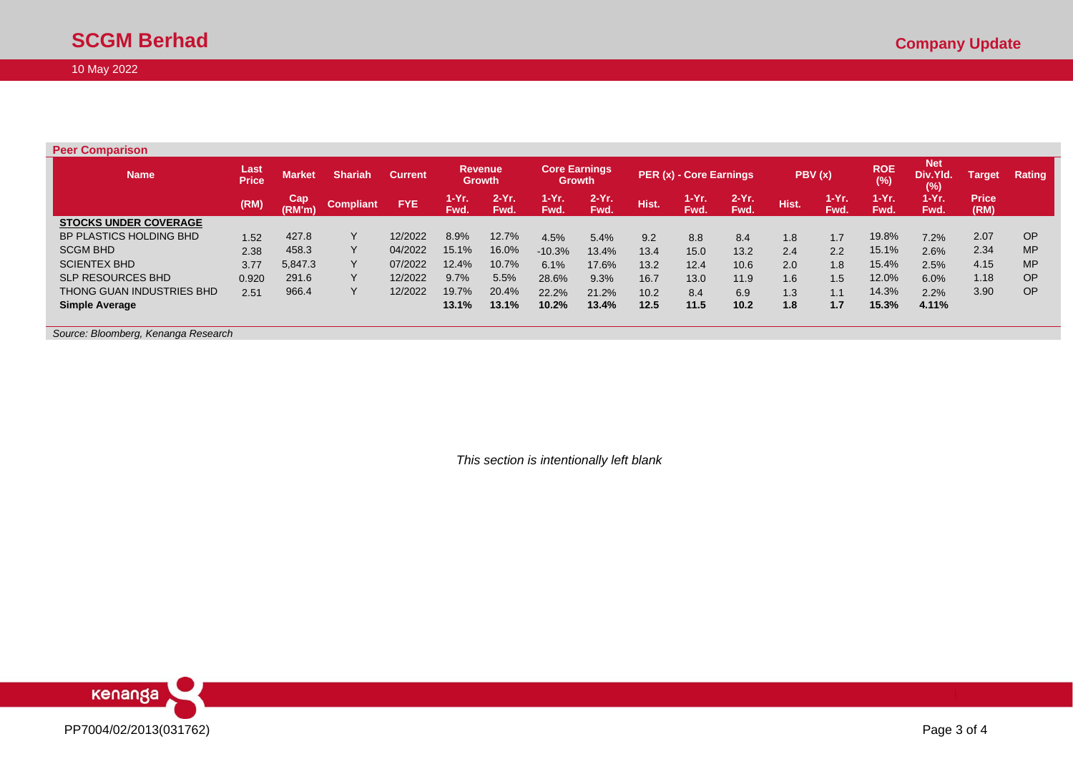Г

# 10 May 2022

| <b>Peer Comparison</b>       |                      |               |                  |                |               |                                 |                                       |                  |       |                         |                  |       |                     |                   |                               |                      |               |
|------------------------------|----------------------|---------------|------------------|----------------|---------------|---------------------------------|---------------------------------------|------------------|-------|-------------------------|------------------|-------|---------------------|-------------------|-------------------------------|----------------------|---------------|
| <b>Name</b>                  | Last<br><b>Price</b> | <b>Market</b> | <b>Shariah</b>   | <b>Current</b> |               | <b>Revenue</b><br><b>Growth</b> | <b>Core Earnings</b><br><b>Growth</b> |                  |       | PER (x) - Core Earnings |                  |       | PBV(x)              | <b>ROE</b><br>(%) | <b>Net</b><br>Div.Yld.<br>(%) | Target               | <b>Rating</b> |
|                              | (RM)                 | Cap<br>(RM'm) | <b>Compliant</b> | <b>FYE</b>     | 1-Yr.<br>Fwd. | $2-Yr$ .<br>Fwd.                | $1 - Yr$<br>Fwd.                      | $2-Yr$ .<br>Fwd. | Hist. | 1-Yr.<br>Fwd.           | $2-Yr$ .<br>Fwd. | Hist. | 1-Yr.<br><b>Fwd</b> | 1-Yr.<br>Fwd.     | $1-Yr.$<br>Fwd.               | <b>Price</b><br>(RM) |               |
| <b>STOCKS UNDER COVERAGE</b> |                      |               |                  |                |               |                                 |                                       |                  |       |                         |                  |       |                     |                   |                               |                      |               |
| BP PLASTICS HOLDING BHD      | 1.52                 | 427.8         | $\vee$           | 12/2022        | 8.9%          | 12.7%                           | 4.5%                                  | 5.4%             | 9.2   | 8.8                     | 8.4              | 1.8   | 1.7                 | 19.8%             | 7.2%                          | 2.07                 | <b>OP</b>     |
| <b>SCGM BHD</b>              | 2.38                 | 458.3         | $\vee$           | 04/2022        | 15.1%         | 16.0%                           | $-10.3%$                              | 13.4%            | 13.4  | 15.0                    | 13.2             | 2.4   | 2.2                 | 15.1%             | 2.6%                          | 2.34                 | <b>MP</b>     |
| <b>SCIENTEX BHD</b>          | 3.77                 | 5,847.3       | $\vee$           | 07/2022        | 12.4%         | 10.7%                           | 6.1%                                  | 17.6%            | 13.2  | 12.4                    | 10.6             | 2.0   | 1.8                 | 15.4%             | 2.5%                          | 4.15                 | <b>MP</b>     |
| <b>SLP RESOURCES BHD</b>     | 0.920                | 291.6         | $\checkmark$     | 12/2022        | 9.7%          | 5.5%                            | 28.6%                                 | 9.3%             | 16.7  | 13.0                    | 11.9             | 1.6   | 1.5                 | 12.0%             | 6.0%                          | 1.18                 | <b>OP</b>     |
| THONG GUAN INDUSTRIES BHD    | 2.51                 | 966.4         |                  | 12/2022        | 19.7%         | 20.4%                           | 22.2%                                 | 21.2%            | 10.2  | 8.4                     | 6.9              | 1.3   | 1.1                 | 14.3%             | 2.2%                          | 3.90                 | <b>OP</b>     |
| <b>Simple Average</b>        |                      |               |                  |                | 13.1%         | 13.1%                           | 10.2%                                 | 13.4%            | 12.5  | 11.5                    | 10.2             | 1.8   | 1.7                 | 15.3%             | 4.11%                         |                      |               |

*Source: Bloomberg, Kenanga Research*

*This section is intentionally left blank*